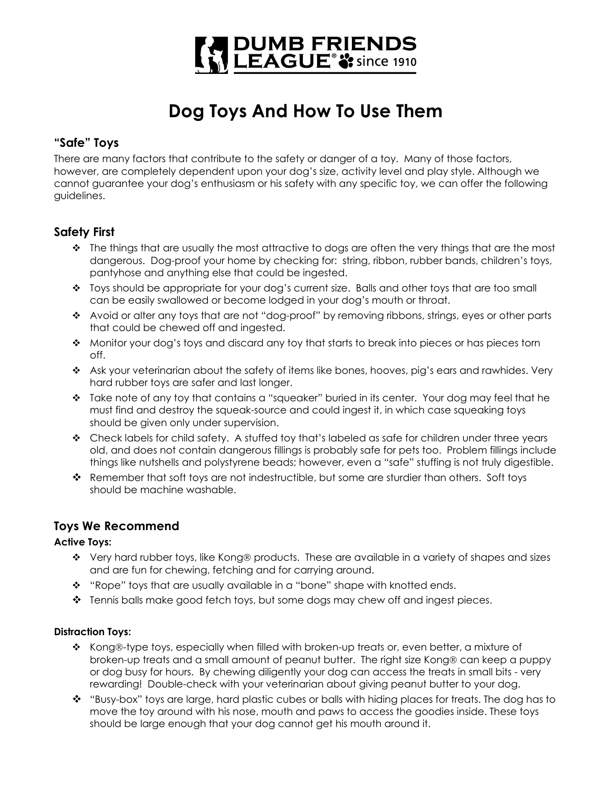

# **Dog Toys And How To Use Them**

## **"Safe" Toys**

There are many factors that contribute to the safety or danger of a toy. Many of those factors, however, are completely dependent upon your dog's size, activity level and play style. Although we cannot guarantee your dog's enthusiasm or his safety with any specific toy, we can offer the following guidelines.

## **Safety First**

- $\cdot \cdot$  The things that are usually the most attractive to dogs are often the very things that are the most dangerous. Dog-proof your home by checking for: string, ribbon, rubber bands, children's toys, pantyhose and anything else that could be ingested.
- $\bullet$  Toys should be appropriate for your dog's current size. Balls and other toys that are too small can be easily swallowed or become lodged in your dog's mouth or throat.
- Avoid or alter any toys that are not "dog-proof" by removing ribbons, strings, eyes or other parts that could be chewed off and ingested.
- Monitor your dog's toys and discard any toy that starts to break into pieces or has pieces torn off.
- \* Ask your veterinarian about the safety of items like bones, hooves, pig's ears and rawhides. Very hard rubber toys are safer and last longer.
- $\div$  Take note of any toy that contains a "squeaker" buried in its center. Your dog may feel that he must find and destroy the squeak-source and could ingest it, in which case squeaking toys should be given only under supervision.
- \* Check labels for child safety. A stuffed toy that's labeled as safe for children under three years old, and does not contain dangerous fillings is probably safe for pets too. Problem fillings include things like nutshells and polystyrene beads; however, even a "safe" stuffing is not truly digestible.
- $\clubsuit$  Remember that soft toys are not indestructible, but some are sturdier than others. Soft toys should be machine washable.

## **Toys We Recommend**

### **Active Toys:**

- $\cdot \cdot$  Very hard rubber toys, like Kong® products. These are available in a variety of shapes and sizes and are fun for chewing, fetching and for carrying around.
- $\cdot \cdot$  "Rope" toys that are usually available in a "bone" shape with knotted ends.
- $\div$  Tennis balls make good fetch toys, but some dogs may chew off and ingest pieces.

### **Distraction Toys:**

- $\triangle$  Kong®-type toys, especially when filled with broken-up treats or, even better, a mixture of broken-up treats and a small amount of peanut butter. The right size Kong® can keep a puppy or dog busy for hours. By chewing diligently your dog can access the treats in small bits - very rewarding! Double-check with your veterinarian about giving peanut butter to your dog.
- $\cdot \cdot$  "Busy-box" toys are large, hard plastic cubes or balls with hiding places for treats. The dog has to move the toy around with his nose, mouth and paws to access the goodies inside. These toys should be large enough that your dog cannot get his mouth around it.